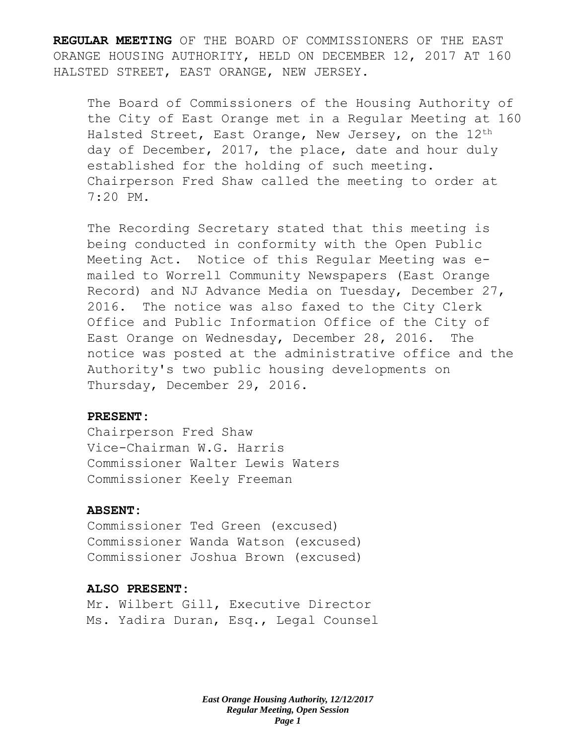**REGULAR MEETING** OF THE BOARD OF COMMISSIONERS OF THE EAST ORANGE HOUSING AUTHORITY, HELD ON DECEMBER 12, 2017 AT 160 HALSTED STREET, EAST ORANGE, NEW JERSEY.

The Board of Commissioners of the Housing Authority of the City of East Orange met in a Regular Meeting at 160 Halsted Street, East Orange, New Jersey, on the 12<sup>th</sup> day of December, 2017, the place, date and hour duly established for the holding of such meeting. Chairperson Fred Shaw called the meeting to order at 7:20 PM.

The Recording Secretary stated that this meeting is being conducted in conformity with the Open Public Meeting Act. Notice of this Regular Meeting was emailed to Worrell Community Newspapers (East Orange Record) and NJ Advance Media on Tuesday, December 27, 2016. The notice was also faxed to the City Clerk Office and Public Information Office of the City of East Orange on Wednesday, December 28, 2016. The notice was posted at the administrative office and the Authority's two public housing developments on Thursday, December 29, 2016.

### **PRESENT:**

Chairperson Fred Shaw Vice-Chairman W.G. Harris Commissioner Walter Lewis Waters Commissioner Keely Freeman

### **ABSENT:**

Commissioner Ted Green (excused) Commissioner Wanda Watson (excused) Commissioner Joshua Brown (excused)

#### **ALSO PRESENT:**

Mr. Wilbert Gill, Executive Director Ms. Yadira Duran, Esq., Legal Counsel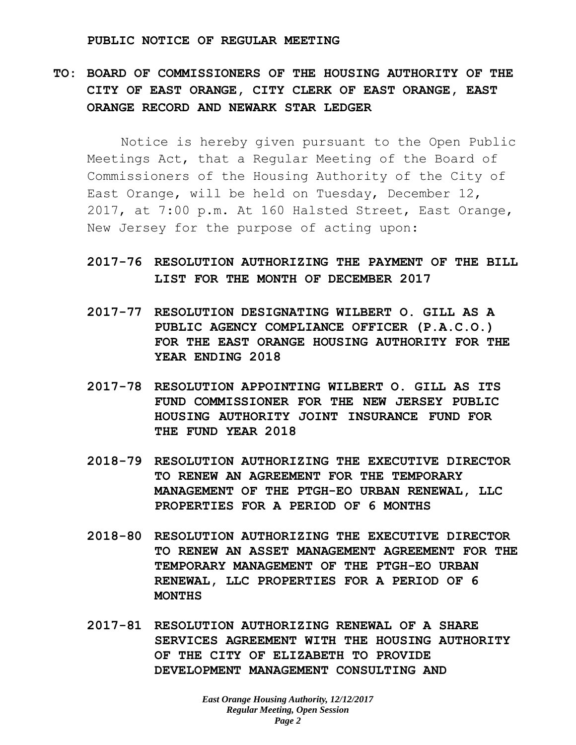#### **PUBLIC NOTICE OF REGULAR MEETING**

**TO: BOARD OF COMMISSIONERS OF THE HOUSING AUTHORITY OF THE CITY OF EAST ORANGE, CITY CLERK OF EAST ORANGE, EAST ORANGE RECORD AND NEWARK STAR LEDGER**

Notice is hereby given pursuant to the Open Public Meetings Act, that a Regular Meeting of the Board of Commissioners of the Housing Authority of the City of East Orange, will be held on Tuesday, December 12, 2017, at 7:00 p.m. At 160 Halsted Street, East Orange, New Jersey for the purpose of acting upon:

- **2017-76 RESOLUTION AUTHORIZING THE PAYMENT OF THE BILL LIST FOR THE MONTH OF DECEMBER 2017**
- **2017-77 RESOLUTION DESIGNATING WILBERT O. GILL AS A PUBLIC AGENCY COMPLIANCE OFFICER (P.A.C.O.) FOR THE EAST ORANGE HOUSING AUTHORITY FOR THE YEAR ENDING 2018**
- **2017-78 RESOLUTION APPOINTING WILBERT O. GILL AS ITS FUND COMMISSIONER FOR THE NEW JERSEY PUBLIC HOUSING AUTHORITY JOINT INSURANCE FUND FOR THE FUND YEAR 2018**
- **2018-79 RESOLUTION AUTHORIZING THE EXECUTIVE DIRECTOR TO RENEW AN AGREEMENT FOR THE TEMPORARY MANAGEMENT OF THE PTGH-EO URBAN RENEWAL, LLC PROPERTIES FOR A PERIOD OF 6 MONTHS**
- **2018-80 RESOLUTION AUTHORIZING THE EXECUTIVE DIRECTOR TO RENEW AN ASSET MANAGEMENT AGREEMENT FOR THE TEMPORARY MANAGEMENT OF THE PTGH-EO URBAN RENEWAL, LLC PROPERTIES FOR A PERIOD OF 6 MONTHS**
- **2017-81 RESOLUTION AUTHORIZING RENEWAL OF A SHARE SERVICES AGREEMENT WITH THE HOUSING AUTHORITY OF THE CITY OF ELIZABETH TO PROVIDE DEVELOPMENT MANAGEMENT CONSULTING AND**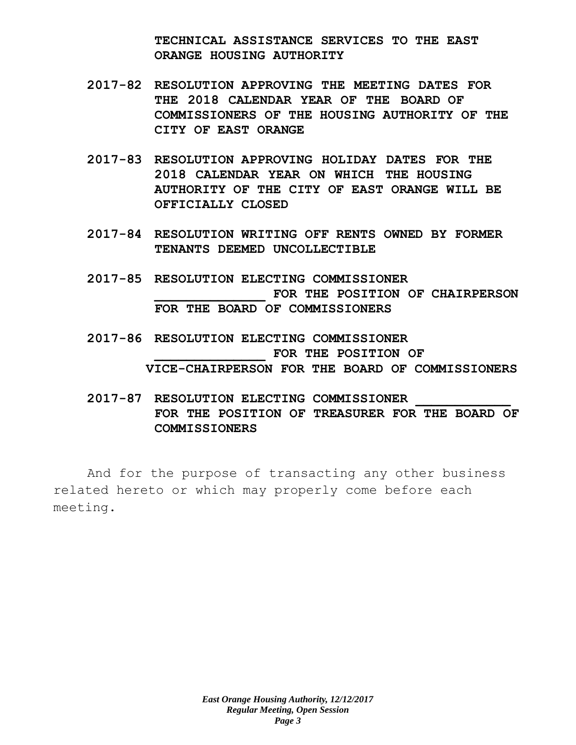**TECHNICAL ASSISTANCE SERVICES TO THE EAST ORANGE HOUSING AUTHORITY**

- **2017-82 RESOLUTION APPROVING THE MEETING DATES FOR THE 2018 CALENDAR YEAR OF THE BOARD OF COMMISSIONERS OF THE HOUSING AUTHORITY OF THE CITY OF EAST ORANGE**
- **2017-83 RESOLUTION APPROVING HOLIDAY DATES FOR THE 2018 CALENDAR YEAR ON WHICH THE HOUSING AUTHORITY OF THE CITY OF EAST ORANGE WILL BE OFFICIALLY CLOSED**
- **2017-84 RESOLUTION WRITING OFF RENTS OWNED BY FORMER TENANTS DEEMED UNCOLLECTIBLE**
- **2017-85 RESOLUTION ELECTING COMMISSIONER \_\_\_\_\_\_\_\_\_\_\_\_\_\_ FOR THE POSITION OF CHAIRPERSON FOR THE BOARD OF COMMISSIONERS**
- **2017-86 RESOLUTION ELECTING COMMISSIONER \_\_\_\_\_\_\_\_\_\_\_\_\_\_ FOR THE POSITION OF VICE-CHAIRPERSON FOR THE BOARD OF COMMISSIONERS**
- **2017-87 RESOLUTION ELECTING COMMISSIONER \_\_\_\_\_\_\_\_\_\_\_\_ FOR THE POSITION OF TREASURER FOR THE BOARD OF COMMISSIONERS**

And for the purpose of transacting any other business related hereto or which may properly come before each meeting.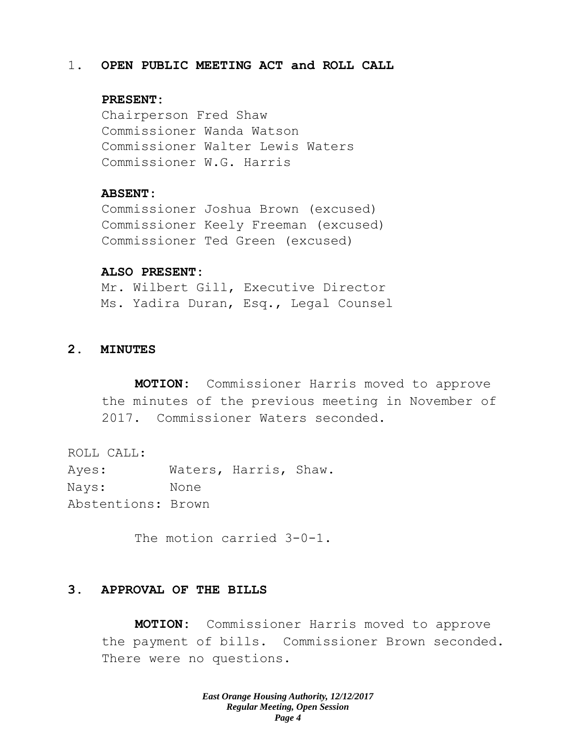#### 1. **OPEN PUBLIC MEETING ACT and ROLL CALL**

#### **PRESENT:**

Chairperson Fred Shaw Commissioner Wanda Watson Commissioner Walter Lewis Waters Commissioner W.G. Harris

## **ABSENT:**

Commissioner Joshua Brown (excused) Commissioner Keely Freeman (excused) Commissioner Ted Green (excused)

#### **ALSO PRESENT:**

Mr. Wilbert Gill, Executive Director Ms. Yadira Duran, Esq., Legal Counsel

## **2. MINUTES**

**MOTION:** Commissioner Harris moved to approve the minutes of the previous meeting in November of 2017. Commissioner Waters seconded.

ROLL CALL:

Ayes: Waters, Harris, Shaw. Nays: None Abstentions: Brown

The motion carried 3-0-1.

## **3. APPROVAL OF THE BILLS**

**MOTION:** Commissioner Harris moved to approve the payment of bills. Commissioner Brown seconded. There were no questions.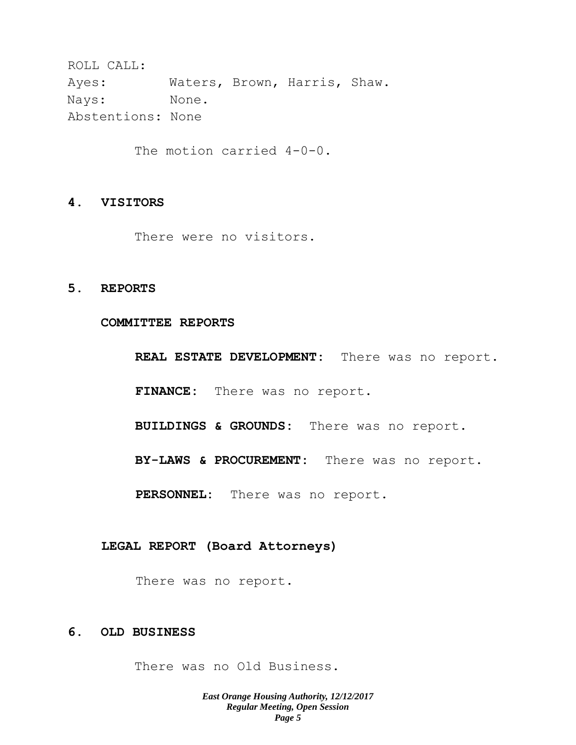ROLL CALL: Ayes: Waters, Brown, Harris, Shaw. Nays: None. Abstentions: None

The motion carried 4-0-0.

## **4. VISITORS**

There were no visitors.

#### **5. REPORTS**

## **COMMITTEE REPORTS**

**REAL ESTATE DEVELOPMENT:** There was no report.

**FINANCE:** There was no report.

**BUILDINGS & GROUNDS:** There was no report.

**BY-LAWS & PROCUREMENT:** There was no report.

**PERSONNEL:** There was no report.

#### **LEGAL REPORT (Board Attorneys)**

There was no report.

## **6. OLD BUSINESS**

There was no Old Business.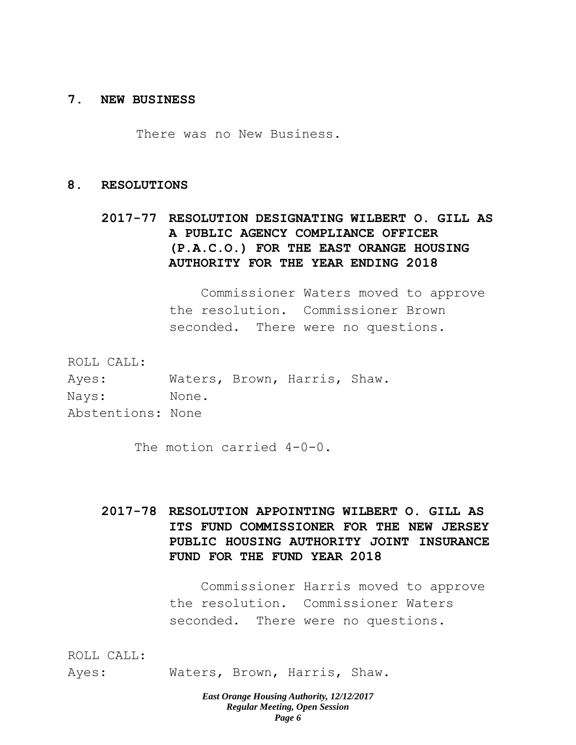#### **7. NEW BUSINESS**

There was no New Business.

#### **8. RESOLUTIONS**

# **2017-77 RESOLUTION DESIGNATING WILBERT O. GILL AS A PUBLIC AGENCY COMPLIANCE OFFICER (P.A.C.O.) FOR THE EAST ORANGE HOUSING AUTHORITY FOR THE YEAR ENDING 2018**

Commissioner Waters moved to approve the resolution. Commissioner Brown seconded. There were no questions.

ROLL CALL:

| Ayes:             |       | Waters, Brown, Harris, Shaw. |  |
|-------------------|-------|------------------------------|--|
| Nays:             | None. |                              |  |
| Abstentions: None |       |                              |  |

The motion carried 4-0-0.

**2017-78 RESOLUTION APPOINTING WILBERT O. GILL AS ITS FUND COMMISSIONER FOR THE NEW JERSEY PUBLIC HOUSING AUTHORITY JOINT INSURANCE FUND FOR THE FUND YEAR 2018**

> Commissioner Harris moved to approve the resolution. Commissioner Waters seconded. There were no questions.

ROLL CALL:

Ayes: Waters, Brown, Harris, Shaw.

*East Orange Housing Authority, 12/12/2017 Regular Meeting, Open Session Page 6*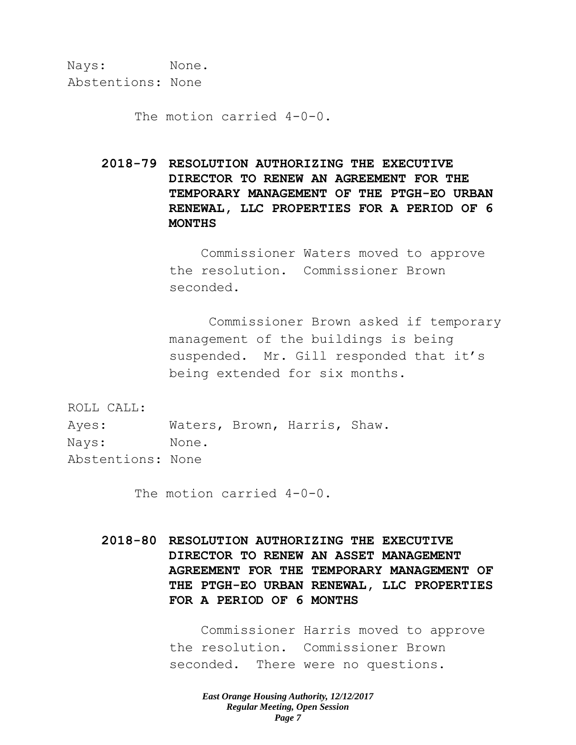Nays: None. Abstentions: None

The motion carried 4-0-0.

**2018-79 RESOLUTION AUTHORIZING THE EXECUTIVE DIRECTOR TO RENEW AN AGREEMENT FOR THE TEMPORARY MANAGEMENT OF THE PTGH-EO URBAN RENEWAL, LLC PROPERTIES FOR A PERIOD OF 6 MONTHS**

> Commissioner Waters moved to approve the resolution. Commissioner Brown seconded.

Commissioner Brown asked if temporary management of the buildings is being suspended. Mr. Gill responded that it's being extended for six months.

ROLL CALL:

Ayes: Waters, Brown, Harris, Shaw. Nays: None. Abstentions: None

The motion carried 4-0-0.

**2018-80 RESOLUTION AUTHORIZING THE EXECUTIVE DIRECTOR TO RENEW AN ASSET MANAGEMENT AGREEMENT FOR THE TEMPORARY MANAGEMENT OF THE PTGH-EO URBAN RENEWAL, LLC PROPERTIES FOR A PERIOD OF 6 MONTHS**

> Commissioner Harris moved to approve the resolution. Commissioner Brown seconded. There were no questions.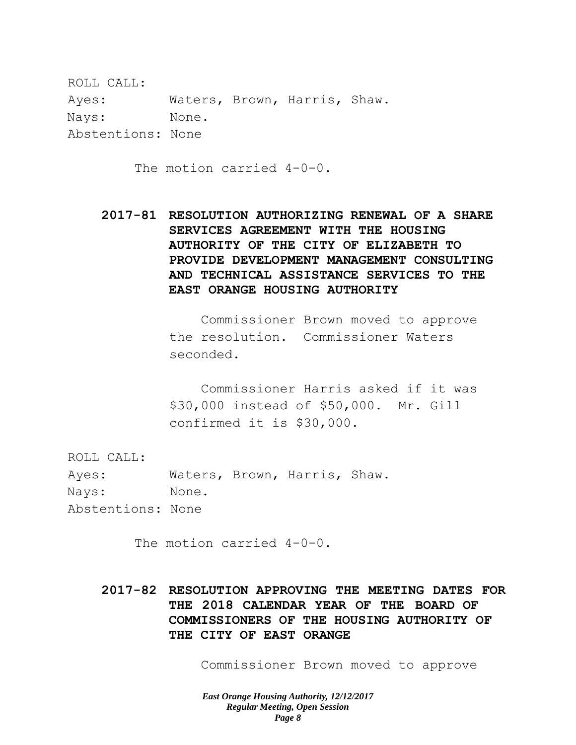ROLL CALL: Ayes: Waters, Brown, Harris, Shaw. Nays: None. Abstentions: None

The motion carried 4-0-0.

**2017-81 RESOLUTION AUTHORIZING RENEWAL OF A SHARE SERVICES AGREEMENT WITH THE HOUSING AUTHORITY OF THE CITY OF ELIZABETH TO PROVIDE DEVELOPMENT MANAGEMENT CONSULTING AND TECHNICAL ASSISTANCE SERVICES TO THE EAST ORANGE HOUSING AUTHORITY**

> Commissioner Brown moved to approve the resolution. Commissioner Waters seconded.

> Commissioner Harris asked if it was \$30,000 instead of \$50,000. Mr. Gill confirmed it is \$30,000.

ROLL CALL:

Ayes: Waters, Brown, Harris, Shaw. Nays: None. Abstentions: None

The motion carried 4-0-0.

**2017-82 RESOLUTION APPROVING THE MEETING DATES FOR THE 2018 CALENDAR YEAR OF THE BOARD OF COMMISSIONERS OF THE HOUSING AUTHORITY OF THE CITY OF EAST ORANGE**

Commissioner Brown moved to approve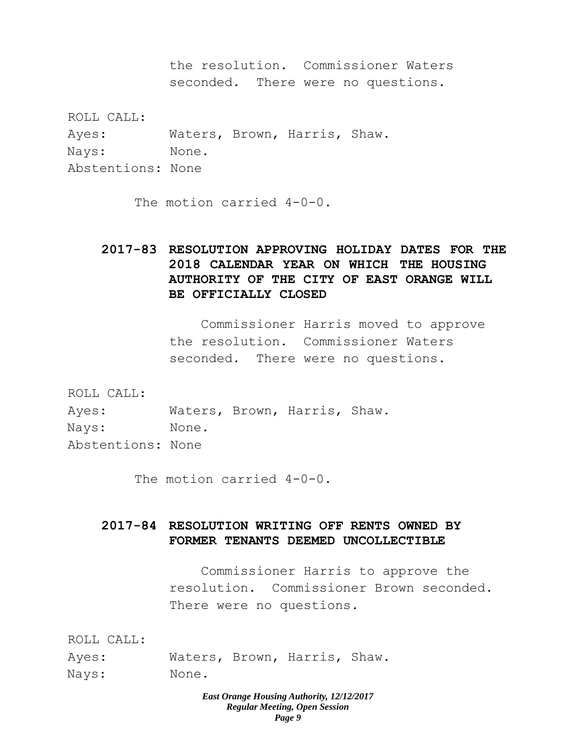the resolution. Commissioner Waters seconded. There were no questions.

ROLL CALL: Ayes: Waters, Brown, Harris, Shaw. Nays: None. Abstentions: None

The motion carried 4-0-0.

# **2017-83 RESOLUTION APPROVING HOLIDAY DATES FOR THE 2018 CALENDAR YEAR ON WHICH THE HOUSING AUTHORITY OF THE CITY OF EAST ORANGE WILL BE OFFICIALLY CLOSED**

Commissioner Harris moved to approve the resolution. Commissioner Waters seconded. There were no questions.

ROLL CALL: Ayes: Waters, Brown, Harris, Shaw. Nays: None. Abstentions: None

The motion carried 4-0-0.

# **2017-84 RESOLUTION WRITING OFF RENTS OWNED BY FORMER TENANTS DEEMED UNCOLLECTIBLE**

Commissioner Harris to approve the resolution. Commissioner Brown seconded. There were no questions.

ROLL CALL:

| Ayes: |       | Waters, Brown, Harris, Shaw. |  |
|-------|-------|------------------------------|--|
| Nays: | None. |                              |  |